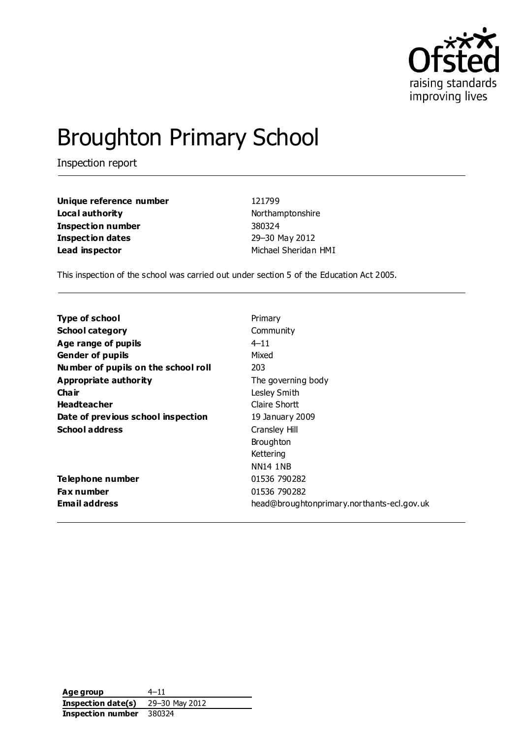

# Broughton Primary School

Inspection report

| Unique reference number | 121799     |
|-------------------------|------------|
| Local authority         | Northar    |
| Inspection number       | 380324     |
| Inspection dates        | $29 - 301$ |
| Lead inspector          | Michael    |

**Local authority** Northamptonshire **I**-30 May 2012 **Lead inspector** Michael Sheridan HMI

This inspection of the school was carried out under section 5 of the Education Act 2005.

| Type of school                      | Primary                                    |
|-------------------------------------|--------------------------------------------|
| <b>School category</b>              | Community                                  |
| Age range of pupils                 | $4 - 11$                                   |
| <b>Gender of pupils</b>             | Mixed                                      |
| Number of pupils on the school roll | 203                                        |
| Appropriate authority               | The governing body                         |
| Cha ir                              | Lesley Smith                               |
| <b>Headteacher</b>                  | Claire Shortt                              |
| Date of previous school inspection  | 19 January 2009                            |
| <b>School address</b>               | Cransley Hill                              |
|                                     | <b>Broughton</b>                           |
|                                     | Kettering                                  |
|                                     | <b>NN14 1NB</b>                            |
| Telephone number                    | 01536 790282                               |
| <b>Fax number</b>                   | 01536 790282                               |
| <b>Email address</b>                | head@broughtonprimary.northants-ecl.gov.uk |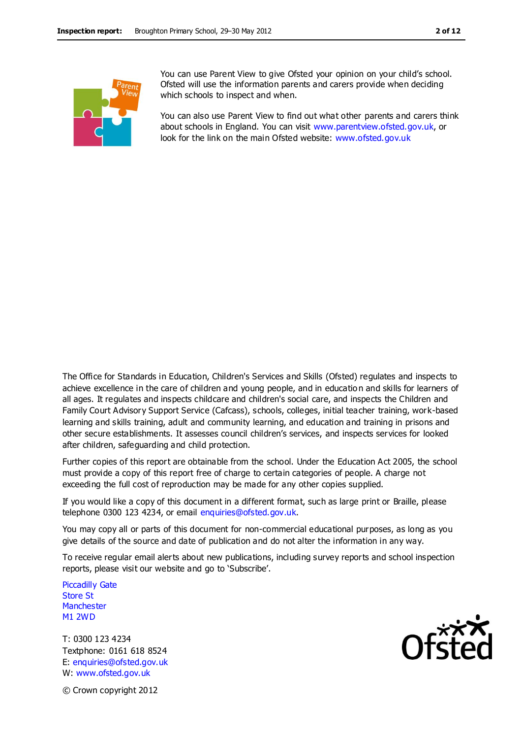You can use Parent View to give Ofsted your opinion on your child's school. Ofsted will use the information parents and carers provide when deciding which schools to inspect and when.

You can also use Parent View to find out what other parents and carers think about schools in England. You can visit [www.parentview.ofsted.gov.uk,](http://www.parentview.ofsted.gov.uk/) or look for the link on the main Ofsted website: [www.ofsted.gov.uk](http://www.ofsted.gov.uk/)

The Office for Standards in Education, Children's Services and Skills (Ofsted) regulates and inspects to achieve excellence in the care of children and young people, and in educatio n and skills for learners of all ages. It regulates and inspects childcare and children's social care, and inspects the Children and Family Court Advisory Support Service (Cafcass), schools, colleges, initial teacher training, work-based learning and skills training, adult and community learning, and education and training in prisons and other secure establishments. It assesses council children's services, and inspects services for looked after children, safeguarding and child protection.

Further copies of this report are obtainable from the school. Under the Education Act 2005, the school must provide a copy of this report free of charge to certain categories of people. A charge not exceeding the full cost of reproduction may be made for any other copies supplied.

If you would like a copy of this document in a different format, such as large print or Braille, please telephone 0300 123 4234, or email enquiries@ofsted.gov.uk.

You may copy all or parts of this document for non-commercial educational purposes, as long as you give details of the source and date of publication and do not alter the information in any way.

To receive regular email alerts about new publications, including survey reports and school inspection reports, please visit our website and go to 'Subscribe'.

Piccadilly Gate Store St **Manchester** M1 2WD

T: 0300 123 4234 Textphone: 0161 618 8524 E: enquiries@ofsted.gov.uk W: www.ofsted.gov.uk



© Crown copyright 2012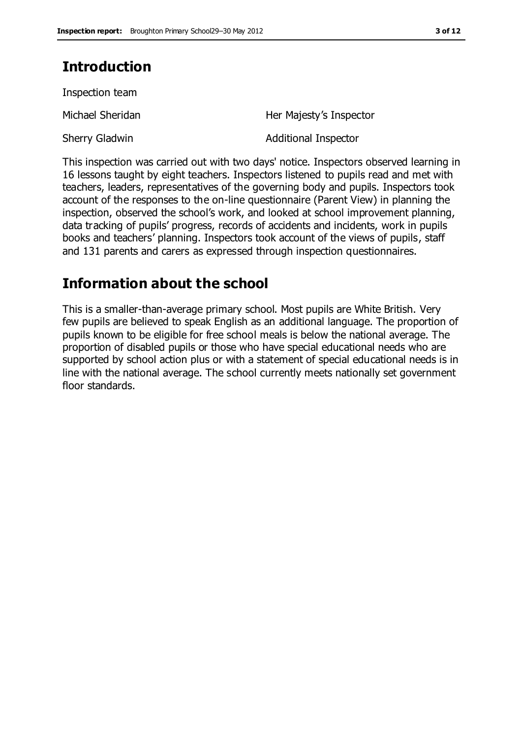# **Introduction**

Inspection team

Michael Sheridan **Her Majesty's Inspector** Sherry Gladwin **Additional Inspector** 

This inspection was carried out with two days' notice. Inspectors observed learning in 16 lessons taught by eight teachers. Inspectors listened to pupils read and met with teachers, leaders, representatives of the governing body and pupils. Inspectors took account of the responses to the on-line questionnaire (Parent View) in planning the inspection, observed the school's work, and looked at school improvement planning, data tracking of pupils' progress, records of accidents and incidents, work in pupils books and teachers' planning. Inspectors took account of the views of pupils, staff and 131 parents and carers as expressed through inspection questionnaires.

# **Information about the school**

This is a smaller-than-average primary school. Most pupils are White British. Very few pupils are believed to speak English as an additional language. The proportion of pupils known to be eligible for free school meals is below the national average. The proportion of disabled pupils or those who have special educational needs who are supported by school action plus or with a statement of special educational needs is in line with the national average. The school currently meets nationally set government floor standards.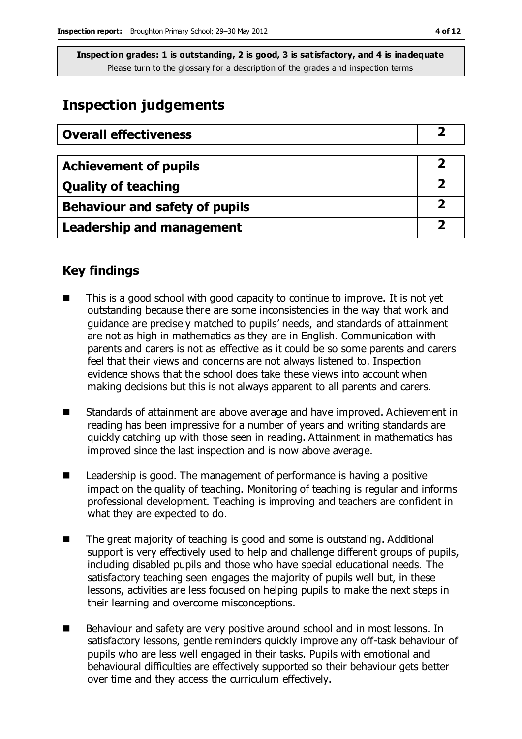# **Inspection judgements**

| <b>Overall effectiveness</b>          |  |
|---------------------------------------|--|
|                                       |  |
| <b>Achievement of pupils</b>          |  |
| <b>Quality of teaching</b>            |  |
| <b>Behaviour and safety of pupils</b> |  |
| <b>Leadership and management</b>      |  |

# **Key findings**

- This is a good school with good capacity to continue to improve. It is not yet outstanding because there are some inconsistencies in the way that work and guidance are precisely matched to pupils' needs, and standards of attainment are not as high in mathematics as they are in English. Communication with parents and carers is not as effective as it could be so some parents and carers feel that their views and concerns are not always listened to. Inspection evidence shows that the school does take these views into account when making decisions but this is not always apparent to all parents and carers.
- Standards of attainment are above average and have improved. Achievement in reading has been impressive for a number of years and writing standards are quickly catching up with those seen in reading. Attainment in mathematics has improved since the last inspection and is now above average.
- Leadership is good. The management of performance is having a positive impact on the quality of teaching. Monitoring of teaching is regular and informs professional development. Teaching is improving and teachers are confident in what they are expected to do.
- The great majority of teaching is good and some is outstanding. Additional support is very effectively used to help and challenge different groups of pupils, including disabled pupils and those who have special educational needs. The satisfactory teaching seen engages the majority of pupils well but, in these lessons, activities are less focused on helping pupils to make the next steps in their learning and overcome misconceptions.
- Behaviour and safety are very positive around school and in most lessons. In satisfactory lessons, gentle reminders quickly improve any off-task behaviour of pupils who are less well engaged in their tasks. Pupils with emotional and behavioural difficulties are effectively supported so their behaviour gets better over time and they access the curriculum effectively.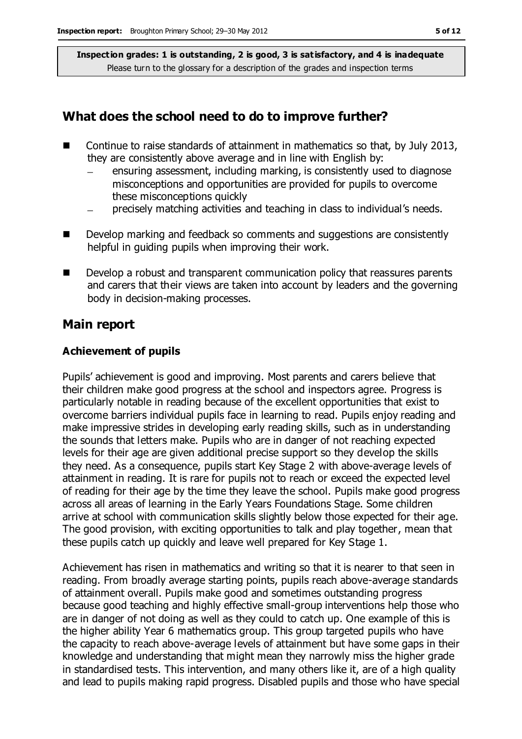### **What does the school need to do to improve further?**

- Continue to raise standards of attainment in mathematics so that, by July 2013, they are consistently above average and in line with English by:
	- ensuring assessment, including marking, is consistently used to diagnose misconceptions and opportunities are provided for pupils to overcome these misconceptions quickly
	- precisely matching activities and teaching in class to individual's needs.
- Develop marking and feedback so comments and suggestions are consistently helpful in guiding pupils when improving their work.
- Develop a robust and transparent communication policy that reassures parents and carers that their views are taken into account by leaders and the governing body in decision-making processes.

#### **Main report**

#### **Achievement of pupils**

Pupils' achievement is good and improving. Most parents and carers believe that their children make good progress at the school and inspectors agree. Progress is particularly notable in reading because of the excellent opportunities that exist to overcome barriers individual pupils face in learning to read. Pupils enjoy reading and make impressive strides in developing early reading skills, such as in understanding the sounds that letters make. Pupils who are in danger of not reaching expected levels for their age are given additional precise support so they develop the skills they need. As a consequence, pupils start Key Stage 2 with above-average levels of attainment in reading. It is rare for pupils not to reach or exceed the expected level of reading for their age by the time they leave the school. Pupils make good progress across all areas of learning in the Early Years Foundations Stage. Some children arrive at school with communication skills slightly below those expected for their age. The good provision, with exciting opportunities to talk and play together, mean that these pupils catch up quickly and leave well prepared for Key Stage 1.

Achievement has risen in mathematics and writing so that it is nearer to that seen in reading. From broadly average starting points, pupils reach above-average standards of attainment overall. Pupils make good and sometimes outstanding progress because good teaching and highly effective small-group interventions help those who are in danger of not doing as well as they could to catch up. One example of this is the higher ability Year 6 mathematics group. This group targeted pupils who have the capacity to reach above-average levels of attainment but have some gaps in their knowledge and understanding that might mean they narrowly miss the higher grade in standardised tests. This intervention, and many others like it, are of a high quality and lead to pupils making rapid progress. Disabled pupils and those who have special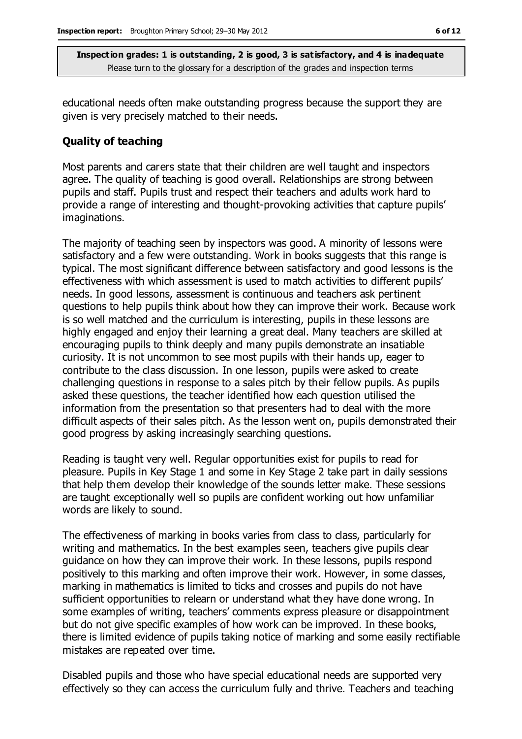educational needs often make outstanding progress because the support they are given is very precisely matched to their needs.

#### **Quality of teaching**

Most parents and carers state that their children are well taught and inspectors agree. The quality of teaching is good overall. Relationships are strong between pupils and staff. Pupils trust and respect their teachers and adults work hard to provide a range of interesting and thought-provoking activities that capture pupils' imaginations.

The majority of teaching seen by inspectors was good. A minority of lessons were satisfactory and a few were outstanding. Work in books suggests that this range is typical. The most significant difference between satisfactory and good lessons is the effectiveness with which assessment is used to match activities to different pupils' needs. In good lessons, assessment is continuous and teachers ask pertinent questions to help pupils think about how they can improve their work. Because work is so well matched and the curriculum is interesting, pupils in these lessons are highly engaged and enjoy their learning a great deal. Many teachers are skilled at encouraging pupils to think deeply and many pupils demonstrate an insatiable curiosity. It is not uncommon to see most pupils with their hands up, eager to contribute to the class discussion. In one lesson, pupils were asked to create challenging questions in response to a sales pitch by their fellow pupils. As pupils asked these questions, the teacher identified how each question utilised the information from the presentation so that presenters had to deal with the more difficult aspects of their sales pitch. As the lesson went on, pupils demonstrated their good progress by asking increasingly searching questions.

Reading is taught very well. Regular opportunities exist for pupils to read for pleasure. Pupils in Key Stage 1 and some in Key Stage 2 take part in daily sessions that help them develop their knowledge of the sounds letter make. These sessions are taught exceptionally well so pupils are confident working out how unfamiliar words are likely to sound.

The effectiveness of marking in books varies from class to class, particularly for writing and mathematics. In the best examples seen, teachers give pupils clear guidance on how they can improve their work. In these lessons, pupils respond positively to this marking and often improve their work. However, in some classes, marking in mathematics is limited to ticks and crosses and pupils do not have sufficient opportunities to relearn or understand what they have done wrong. In some examples of writing, teachers' comments express pleasure or disappointment but do not give specific examples of how work can be improved. In these books, there is limited evidence of pupils taking notice of marking and some easily rectifiable mistakes are repeated over time.

Disabled pupils and those who have special educational needs are supported very effectively so they can access the curriculum fully and thrive. Teachers and teaching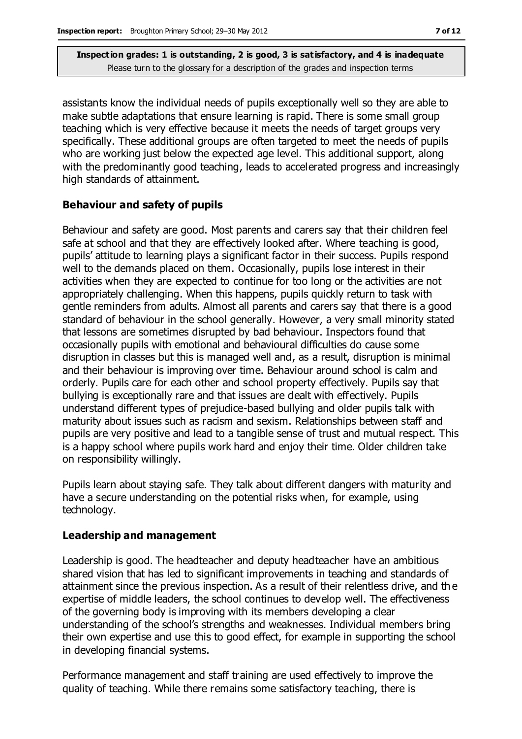assistants know the individual needs of pupils exceptionally well so they are able to make subtle adaptations that ensure learning is rapid. There is some small group teaching which is very effective because it meets the needs of target groups very specifically. These additional groups are often targeted to meet the needs of pupils who are working just below the expected age level. This additional support, along with the predominantly good teaching, leads to accelerated progress and increasingly high standards of attainment.

#### **Behaviour and safety of pupils**

Behaviour and safety are good. Most parents and carers say that their children feel safe at school and that they are effectively looked after. Where teaching is good, pupils' attitude to learning plays a significant factor in their success. Pupils respond well to the demands placed on them. Occasionally, pupils lose interest in their activities when they are expected to continue for too long or the activities are not appropriately challenging. When this happens, pupils quickly return to task with gentle reminders from adults. Almost all parents and carers say that there is a good standard of behaviour in the school generally. However, a very small minority stated that lessons are sometimes disrupted by bad behaviour. Inspectors found that occasionally pupils with emotional and behavioural difficulties do cause some disruption in classes but this is managed well and, as a result, disruption is minimal and their behaviour is improving over time. Behaviour around school is calm and orderly. Pupils care for each other and school property effectively. Pupils say that bullying is exceptionally rare and that issues are dealt with effectively. Pupils understand different types of prejudice-based bullying and older pupils talk with maturity about issues such as racism and sexism. Relationships between staff and pupils are very positive and lead to a tangible sense of trust and mutual respect. This is a happy school where pupils work hard and enjoy their time. Older children take on responsibility willingly.

Pupils learn about staying safe. They talk about different dangers with maturity and have a secure understanding on the potential risks when, for example, using technology.

#### **Leadership and management**

Leadership is good. The headteacher and deputy headteacher have an ambitious shared vision that has led to significant improvements in teaching and standards of attainment since the previous inspection. As a result of their relentless drive, and th e expertise of middle leaders, the school continues to develop well. The effectiveness of the governing body is improving with its members developing a clear understanding of the school's strengths and weaknesses. Individual members bring their own expertise and use this to good effect, for example in supporting the school in developing financial systems.

Performance management and staff training are used effectively to improve the quality of teaching. While there remains some satisfactory teaching, there is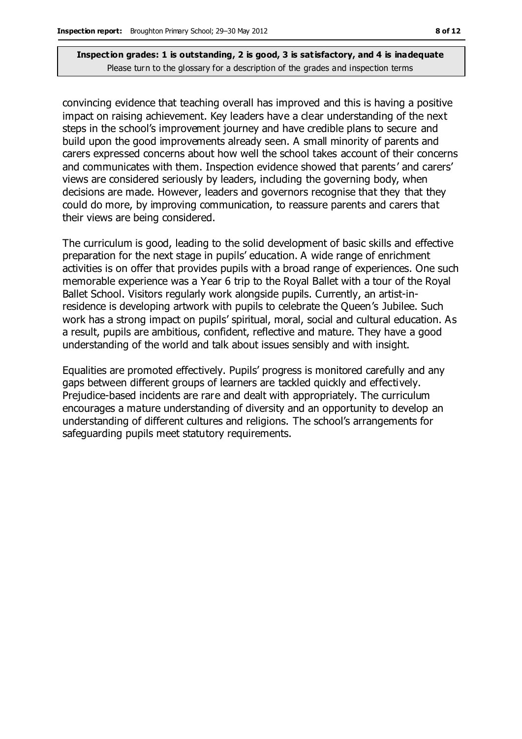convincing evidence that teaching overall has improved and this is having a positive impact on raising achievement. Key leaders have a clear understanding of the next steps in the school's improvement journey and have credible plans to secure and build upon the good improvements already seen. A small minority of parents and carers expressed concerns about how well the school takes account of their concerns and communicates with them. Inspection evidence showed that parents' and carers' views are considered seriously by leaders, including the governing body, when decisions are made. However, leaders and governors recognise that they that they could do more, by improving communication, to reassure parents and carers that their views are being considered.

The curriculum is good, leading to the solid development of basic skills and effective preparation for the next stage in pupils' education. A wide range of enrichment activities is on offer that provides pupils with a broad range of experiences. One such memorable experience was a Year 6 trip to the Royal Ballet with a tour of the Royal Ballet School. Visitors regularly work alongside pupils. Currently, an artist-inresidence is developing artwork with pupils to celebrate the Queen's Jubilee. Such work has a strong impact on pupils' spiritual, moral, social and cultural education. As a result, pupils are ambitious, confident, reflective and mature. They have a good understanding of the world and talk about issues sensibly and with insight.

Equalities are promoted effectively. Pupils' progress is monitored carefully and any gaps between different groups of learners are tackled quickly and effectively. Prejudice-based incidents are rare and dealt with appropriately. The curriculum encourages a mature understanding of diversity and an opportunity to develop an understanding of different cultures and religions. The school's arrangements for safeguarding pupils meet statutory requirements.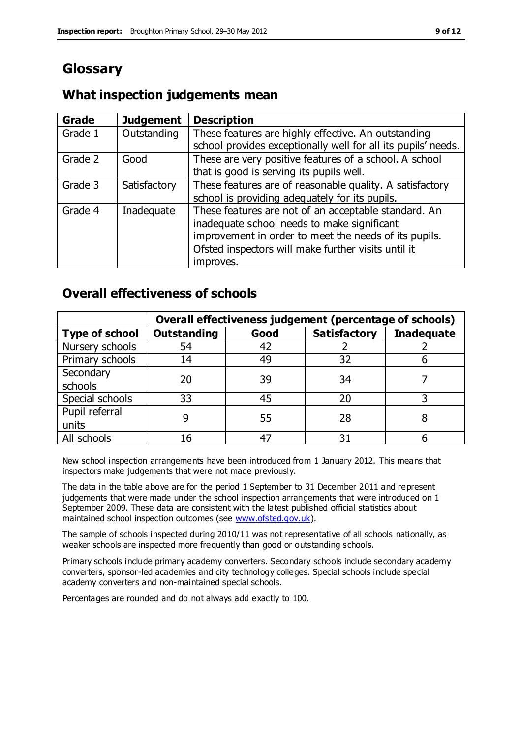# **Glossary**

# **What inspection judgements mean**

| Grade   | <b>Judgement</b> | <b>Description</b>                                            |
|---------|------------------|---------------------------------------------------------------|
| Grade 1 | Outstanding      | These features are highly effective. An outstanding           |
|         |                  | school provides exceptionally well for all its pupils' needs. |
| Grade 2 | Good             | These are very positive features of a school. A school        |
|         |                  | that is good is serving its pupils well.                      |
| Grade 3 | Satisfactory     | These features are of reasonable quality. A satisfactory      |
|         |                  | school is providing adequately for its pupils.                |
| Grade 4 | Inadequate       | These features are not of an acceptable standard. An          |
|         |                  | inadequate school needs to make significant                   |
|         |                  | improvement in order to meet the needs of its pupils.         |
|         |                  | Ofsted inspectors will make further visits until it           |
|         |                  | improves.                                                     |

# **Overall effectiveness of schools**

|                       | Overall effectiveness judgement (percentage of schools) |      |                     |                   |
|-----------------------|---------------------------------------------------------|------|---------------------|-------------------|
| <b>Type of school</b> | <b>Outstanding</b>                                      | Good | <b>Satisfactory</b> | <b>Inadequate</b> |
| Nursery schools       | 54                                                      | 42   |                     |                   |
| Primary schools       | 14                                                      | 49   | 32                  |                   |
| Secondary             | 20                                                      | 39   | 34                  |                   |
| schools               |                                                         |      |                     |                   |
| Special schools       | 33                                                      | 45   | 20                  |                   |
| Pupil referral        |                                                         | 55   | 28                  |                   |
| units                 |                                                         |      |                     |                   |
| All schools           | 16                                                      | 47   | 31                  |                   |

New school inspection arrangements have been introduced from 1 January 2012. This means that inspectors make judgements that were not made previously.

The data in the table above are for the period 1 September to 31 December 2011 and represent judgements that were made under the school inspection arrangements that were introduced on 1 September 2009. These data are consistent with the latest published official statistics about maintained school inspection outcomes (see [www.ofsted.gov.uk\)](http://www.ofsted.gov.uk/).

The sample of schools inspected during 2010/11 was not representative of all schools nationally, as weaker schools are inspected more frequently than good or outstanding schools.

Primary schools include primary academy converters. Secondary schools include secondary academy converters, sponsor-led academies and city technology colleges. Special schools include special academy converters and non-maintained special schools.

Percentages are rounded and do not always add exactly to 100.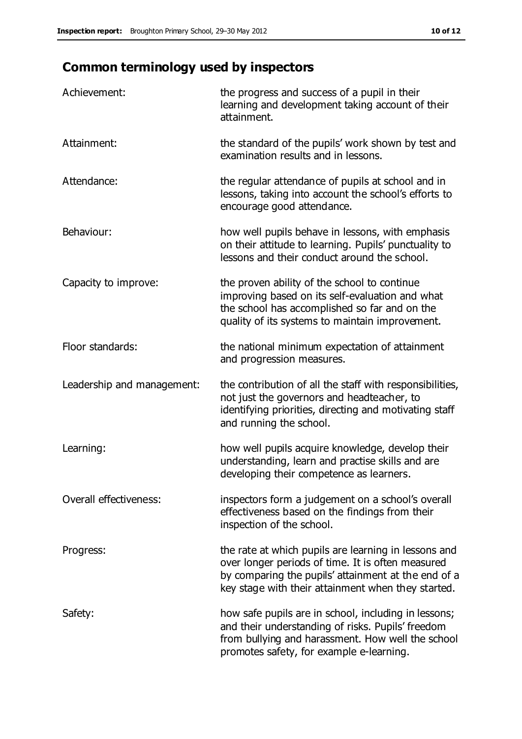# **Common terminology used by inspectors**

| Achievement:               | the progress and success of a pupil in their<br>learning and development taking account of their<br>attainment.                                                                                                        |
|----------------------------|------------------------------------------------------------------------------------------------------------------------------------------------------------------------------------------------------------------------|
| Attainment:                | the standard of the pupils' work shown by test and<br>examination results and in lessons.                                                                                                                              |
| Attendance:                | the regular attendance of pupils at school and in<br>lessons, taking into account the school's efforts to<br>encourage good attendance.                                                                                |
| Behaviour:                 | how well pupils behave in lessons, with emphasis<br>on their attitude to learning. Pupils' punctuality to<br>lessons and their conduct around the school.                                                              |
| Capacity to improve:       | the proven ability of the school to continue<br>improving based on its self-evaluation and what<br>the school has accomplished so far and on the<br>quality of its systems to maintain improvement.                    |
| Floor standards:           | the national minimum expectation of attainment<br>and progression measures.                                                                                                                                            |
| Leadership and management: | the contribution of all the staff with responsibilities,<br>not just the governors and headteacher, to<br>identifying priorities, directing and motivating staff<br>and running the school.                            |
| Learning:                  | how well pupils acquire knowledge, develop their<br>understanding, learn and practise skills and are<br>developing their competence as learners.                                                                       |
| Overall effectiveness:     | inspectors form a judgement on a school's overall<br>effectiveness based on the findings from their<br>inspection of the school.                                                                                       |
| Progress:                  | the rate at which pupils are learning in lessons and<br>over longer periods of time. It is often measured<br>by comparing the pupils' attainment at the end of a<br>key stage with their attainment when they started. |
| Safety:                    | how safe pupils are in school, including in lessons;<br>and their understanding of risks. Pupils' freedom<br>from bullying and harassment. How well the school<br>promotes safety, for example e-learning.             |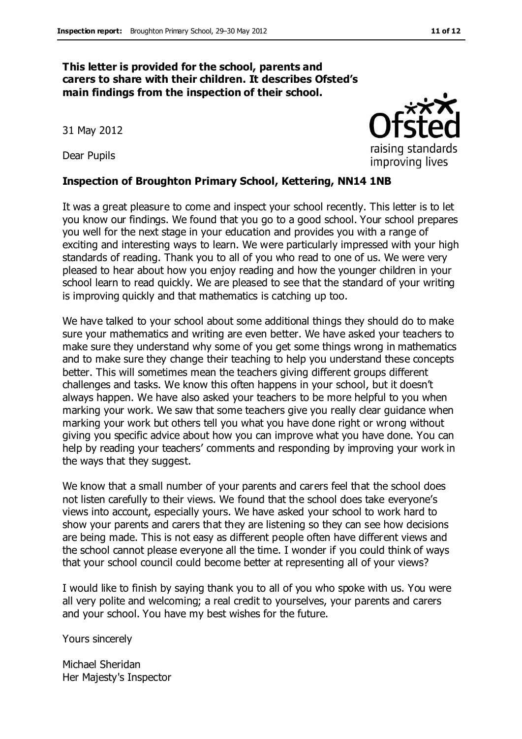#### **This letter is provided for the school, parents and carers to share with their children. It describes Ofsted's main findings from the inspection of their school.**

31 May 2012

Dear Pupils

#### **Inspection of Broughton Primary School, Kettering, NN14 1NB**

It was a great pleasure to come and inspect your school recently. This letter is to let you know our findings. We found that you go to a good school. Your school prepares you well for the next stage in your education and provides you with a range of exciting and interesting ways to learn. We were particularly impressed with your high standards of reading. Thank you to all of you who read to one of us. We were very pleased to hear about how you enjoy reading and how the younger children in your school learn to read quickly. We are pleased to see that the standard of your writing is improving quickly and that mathematics is catching up too.

We have talked to your school about some additional things they should do to make sure your mathematics and writing are even better. We have asked your teachers to make sure they understand why some of you get some things wrong in mathematics and to make sure they change their teaching to help you understand these concepts better. This will sometimes mean the teachers giving different groups different challenges and tasks. We know this often happens in your school, but it doesn't always happen. We have also asked your teachers to be more helpful to you when marking your work. We saw that some teachers give you really clear guidance when marking your work but others tell you what you have done right or wrong without giving you specific advice about how you can improve what you have done. You can help by reading your teachers' comments and responding by improving your work in the ways that they suggest.

We know that a small number of your parents and carers feel that the school does not listen carefully to their views. We found that the school does take everyone's views into account, especially yours. We have asked your school to work hard to show your parents and carers that they are listening so they can see how decisions are being made. This is not easy as different people often have different views and the school cannot please everyone all the time. I wonder if you could think of ways that your school council could become better at representing all of your views?

I would like to finish by saying thank you to all of you who spoke with us. You were all very polite and welcoming; a real credit to yourselves, your parents and carers and your school. You have my best wishes for the future.

Yours sincerely

Michael Sheridan Her Majesty's Inspector